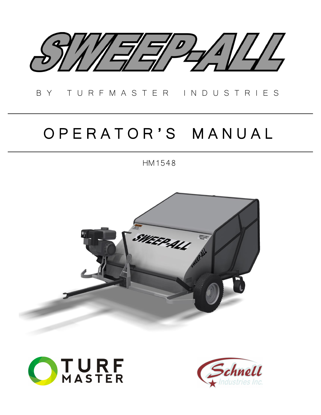

# B Y T U R F M A S T E R I N D U S T R I E S

# O P E R A T O R ' S M A N U A L

HM1548





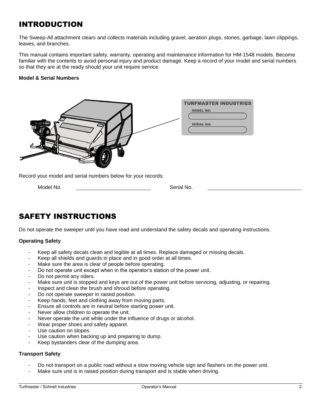# INTRODUCTION

The Sweep-All attachment clears and collects materials including gravel, aeration plugs, stones, garbage, lawn clippings, leaves, and branches.

This manual contains important safety, warranty, operating and maintenance information for HM-1548 models. Become familiar with the contents to avoid personal injury and product damage. Keep a record of your model and serial numbers so that they are at the ready should your unit require service.

### **Model & Serial Numbers**



Record your model and serial numbers below for your records:

Model No. Serial No.

# SAFETY INSTRUCTIONS

Do not operate the sweeper until you have read and understand the safety decals and operating instructions.

### **Operating Safety**

- Keep all safety decals clean and legible at all times. Replace damaged or missing decals.
- Keep all shields and guards in place and in good order at all times.
- Make sure the area is clear of people before operating.
- Do not operate unit except when in the operator's station of the power unit.
- Do not permit any riders.
- Make sure unit is stopped and keys are out of the power unit before servicing, adjusting, or repairing.
- Inspect and clean the brush and shroud before operating.
- Do not operate sweeper in raised position.
- Keep hands, feet and clothing away from moving parts.
- Ensure all controls are in neutral before starting power unit.
- Never allow children to operate the unit.
- Never operate the unit while under the influence of drugs or alcohol.
- Wear proper shoes and safety apparel.
- Use caution on slopes.
- Use caution when backing up and preparing to dump.
- Keep bystanders clear of the dumping area.

### **Transport Safety**

- Do not transport on a public road without a slow moving vehicle sign and flashers on the power unit.
- Make sure unit is in raised position during transport and is stable when driving.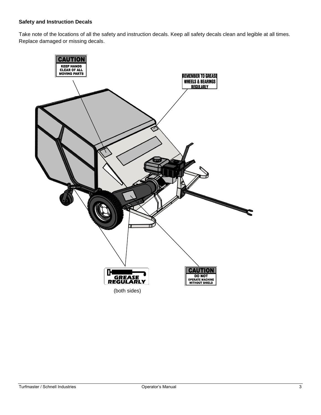### **Safety and Instruction Decals**

Take note of the locations of all the safety and instruction decals. Keep all safety decals clean and legible at all times. Replace damaged or missing decals.

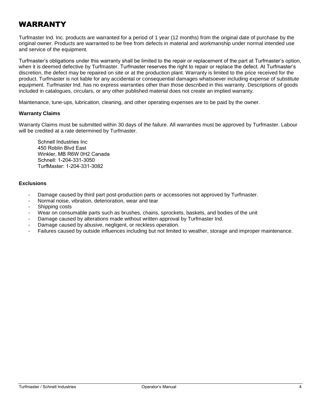# **WARRANTY**

Turfmaster Ind. Inc. products are warranted for a period of 1 year (12 months) from the original date of purchase by the original owner. Products are warranted to be free from defects in material and workmanship under normal intended use and service of the equipment.

Turfmaster's obligations under this warranty shall be limited to the repair or replacement of the part at Turfmaster's option, when it is deemed defective by Turfmaster. Turfmaster reserves the right to repair or replace the defect. At Turfmaster's discretion, the defect may be repaired on site or at the production plant. Warranty is limited to the price received for the product. Turfmaster is not liable for any accidental or consequential damages whatsoever including expense of substitute equipment. Turfmaster Ind. has no express warranties other than those described in this warranty. Descriptions of goods included in catalogues, circulars, or any other published material does not create an implied warranty.

Maintenance, tune-ups, lubrication, cleaning, and other operating expenses are to be paid by the owner.

### **Warranty Claims**

Warranty Claims must be submitted within 30 days of the failure. All warranties must be approved by Turfmaster. Labour will be credited at a rate determined by Turfmaster.

Schnell Industries Inc 450 Roblin Blvd East Winkler, MB R6W 0H2 Canada Schnell: 1-204-331-3050 TurfMaster: 1-204-331-3082

### **Exclusions**

- Damage caused by third part post-production parts or accessories not approved by Turfmaster.
- Normal noise, vibration, deterioration, wear and tear
- Shipping costs
- Wear on consumable parts such as brushes, chains, sprockets, baskets, and bodies of the unit
- Damage caused by alterations made without written approval by Turfmaster Ind.
- Damage caused by abusive, negligent, or reckless operation.
- Failures caused by outside influences including but not limited to weather, storage and improper maintenance.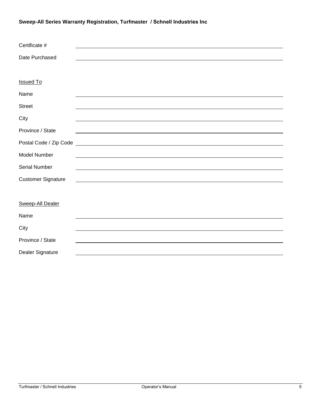## **Sweep-All Series Warranty Registration, Turfmaster / Schnell Industries Inc**

| Certificate #             |  |
|---------------------------|--|
| Date Purchased            |  |
|                           |  |
| <b>Issued To</b>          |  |
| Name                      |  |
| <b>Street</b>             |  |
| City                      |  |
| Province / State          |  |
|                           |  |
| <b>Model Number</b>       |  |
| Serial Number             |  |
| <b>Customer Signature</b> |  |
|                           |  |
| <b>Sweep-All Dealer</b>   |  |
| Name                      |  |
| City                      |  |
| Province / State          |  |
| Dealer Signature          |  |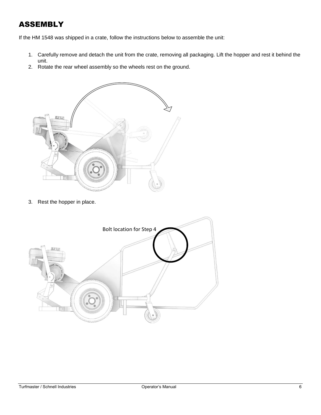# ASSEMBLY

If the HM 1548 was shipped in a crate, follow the instructions below to assemble the unit:

- 1. Carefully remove and detach the unit from the crate, removing all packaging. Lift the hopper and rest it behind the unit.
- 2. Rotate the rear wheel assembly so the wheels rest on the ground.



3. Rest the hopper in place.

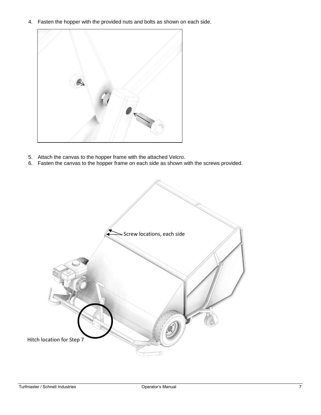4. Fasten the hopper with the provided nuts and bolts as shown on each side.



- 5. Attach the canvas to the hopper frame with the attached Velcro.
- 6. Fasten the canvas to the hopper frame on each side as shown with the screws provided.

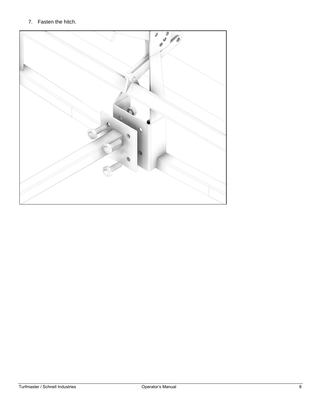### 7. Fasten the hitch.